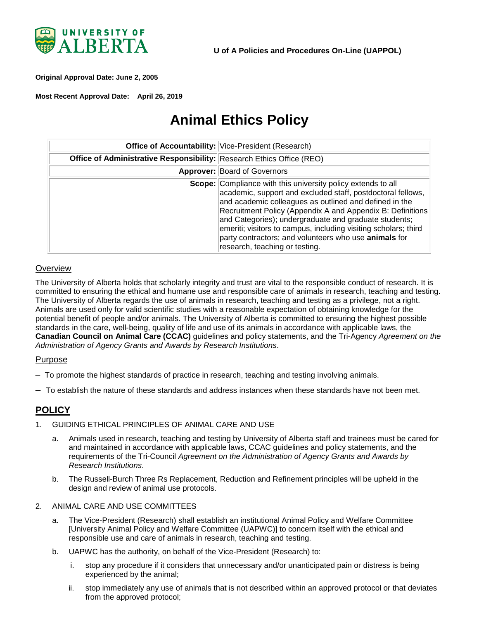

<span id="page-0-0"></span>**Original Approval Date: June 2, 2005** 

**Most Recent Approval Date: April 26, 2019** 

# **Animal Ethics Policy**

|                                                                              | <b>Office of Accountability: Vice-President (Research)</b>                                                                                                                                                                                                                                                                                                                                                                                                                        |
|------------------------------------------------------------------------------|-----------------------------------------------------------------------------------------------------------------------------------------------------------------------------------------------------------------------------------------------------------------------------------------------------------------------------------------------------------------------------------------------------------------------------------------------------------------------------------|
| <b>Office of Administrative Responsibility: Research Ethics Office (REO)</b> |                                                                                                                                                                                                                                                                                                                                                                                                                                                                                   |
|                                                                              | Approver: Board of Governors                                                                                                                                                                                                                                                                                                                                                                                                                                                      |
|                                                                              | <b>Scope:</b> Compliance with this university policy extends to all<br>academic, support and excluded staff, postdoctoral fellows,<br>and academic colleagues as outlined and defined in the<br>Recruitment Policy (Appendix A and Appendix B: Definitions<br>and Categories); undergraduate and graduate students;<br>emeriti; visitors to campus, including visiting scholars; third<br>party contractors; and volunteers who use animals for<br>research, teaching or testing. |

#### **Overview**

The University of Alberta holds that scholarly integrity and trust are vital to the responsible conduct of research. It is committed to ensuring the ethical and humane use and responsible care of animals in research, teaching and testing. The University of Alberta regards the use of animals in research, teaching and testing as a privilege, not a right. Animals are used only for valid scientific studies with a reasonable expectation of obtaining knowledge for the potential benefit of people and/or animals. The University of Alberta is committed to ensuring the highest possible standards in the care, well-being, quality of life and use of its animals in accordance with applicable laws, the **Canadian Council on Animal Care (CCAC)** guidelines and policy statements, and the Tri-Agency *Agreement on the Administration of Agency Grants and Awards by Research Institutions*.

#### Purpose

- To promote the highest standards of practice in research, teaching and testing involving animals.
- To establish the nature of these standards and address instances when these standards have not been met.

## **POLICY**

- 1. GUIDING ETHICAL PRINCIPLES OF ANIMAL CARE AND USE
	- a. Animals used in research, teaching and testing by University of Alberta staff and trainees must be cared for and maintained in accordance with applicable laws, CCAC guidelines and policy statements, and the requirements of the Tri-Council *Agreement on the Administration of Agency Grants and Awards by Research Institutions*.
	- b. The Russell-Burch Three Rs Replacement, Reduction and Refinement principles will be upheld in the design and review of animal use protocols.
- 2. ANIMAL CARE AND USE COMMITTEES
	- a. The Vice-President (Research) shall establish an institutional Animal Policy and Welfare Committee [University Animal Policy and Welfare Committee (UAPWC)] to concern itself with the ethical and responsible use and care of animals in research, teaching and testing.
	- b. UAPWC has the authority, on behalf of the Vice-President (Research) to:
		- i. stop any procedure if it considers that unnecessary and/or unanticipated pain or distress is being experienced by the animal;
		- ii. stop immediately any use of animals that is not described within an approved protocol or that deviates from the approved protocol;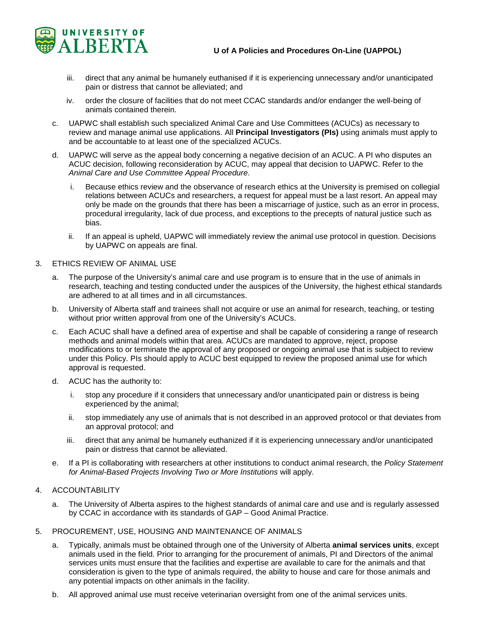

- iii. direct that any animal be humanely euthanised if it is experiencing unnecessary and/or unanticipated pain or distress that cannot be alleviated; and
- iv. order the closure of facilities that do not meet CCAC standards and/or endanger the well-being of animals contained therein.
- c. UAPWC shall establish such specialized Animal Care and Use Committees (ACUCs) as necessary to review and manage animal use applications. All **Principal Investigators (PIs)** using animals must apply to and be accountable to at least one of the specialized ACUCs.
- d. UAPWC will serve as the appeal body concerning a negative decision of an ACUC. A PI who disputes an ACUC decision, following reconsideration by ACUC, may appeal that decision to UAPWC. Refer to the *Animal Care and Use Committee Appeal Procedure*.
	- i. Because ethics review and the observance of research ethics at the University is premised on collegial relations between ACUCs and researchers, a request for appeal must be a last resort. An appeal may only be made on the grounds that there has been a miscarriage of justice, such as an error in process, procedural irregularity, lack of due process, and exceptions to the precepts of natural justice such as bias.
	- ii. If an appeal is upheld, UAPWC will immediately review the animal use protocol in question. Decisions by UAPWC on appeals are final.
- 3. ETHICS REVIEW OF ANIMAL USE
	- a. The purpose of the University's animal care and use program is to ensure that in the use of animals in research, teaching and testing conducted under the auspices of the University, the highest ethical standards are adhered to at all times and in all circumstances.
	- b. University of Alberta staff and trainees shall not acquire or use an animal for research, teaching, or testing without prior written approval from one of the University's ACUCs.
	- c. Each ACUC shall have a defined area of expertise and shall be capable of considering a range of research methods and animal models within that area. ACUCs are mandated to approve, reject, propose modifications to or terminate the approval of any proposed or ongoing animal use that is subject to review under this Policy. PIs should apply to ACUC best equipped to review the proposed animal use for which approval is requested.
	- d. ACUC has the authority to:
		- i. stop any procedure if it considers that unnecessary and/or unanticipated pain or distress is being experienced by the animal;
		- ii. stop immediately any use of animals that is not described in an approved protocol or that deviates from an approval protocol; and
		- iii. direct that any animal be humanely euthanized if it is experiencing unnecessary and/or unanticipated pain or distress that cannot be alleviated.
	- e. If a PI is collaborating with researchers at other institutions to conduct animal research, the *Policy Statement for Animal-Based Projects Involving Two or More Institutions* will apply.

### 4. ACCOUNTABILITY

- a. The University of Alberta aspires to the highest standards of animal care and use and is regularly assessed by CCAC in accordance with its standards of GAP – Good Animal Practice.
- 5. PROCUREMENT, USE, HOUSING AND MAINTENANCE OF ANIMALS
	- a. Typically, animals must be obtained through one of the University of Alberta **animal services units**, except animals used in the field. Prior to arranging for the procurement of animals, PI and Directors of the animal services units must ensure that the facilities and expertise are available to care for the animals and that consideration is given to the type of animals required, the ability to house and care for those animals and any potential impacts on other animals in the facility.
	- b. All approved animal use must receive veterinarian oversight from one of the animal services units.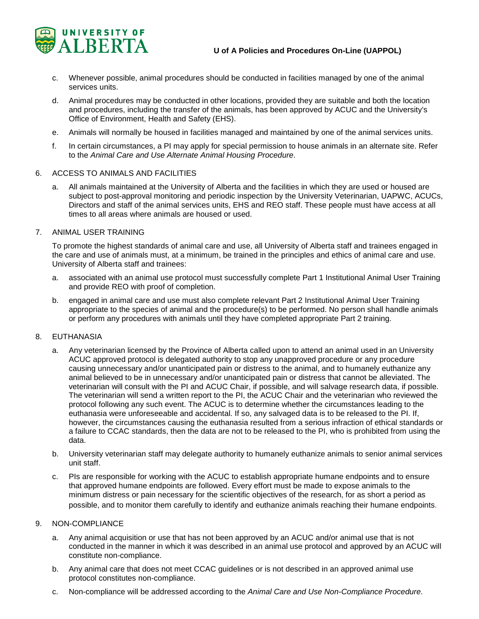

- c. Whenever possible, animal procedures should be conducted in facilities managed by one of the animal services units.
- d. Animal procedures may be conducted in other locations, provided they are suitable and both the location and procedures, including the transfer of the animals, has been approved by ACUC and the University's Office of Environment, Health and Safety (EHS).
- e. Animals will normally be housed in facilities managed and maintained by one of the animal services units.
- f. In certain circumstances, a PI may apply for special permission to house animals in an alternate site. Refer to the *Animal Care and Use Alternate Animal Housing Procedure*.
- 6. ACCESS TO ANIMALS AND FACILITIES
	- a. All animals maintained at the University of Alberta and the facilities in which they are used or housed are subject to post-approval monitoring and periodic inspection by the University Veterinarian, UAPWC, ACUCs, Directors and staff of the animal services units, EHS and REO staff. These people must have access at all times to all areas where animals are housed or used.
- 7. ANIMAL USER TRAINING

To promote the highest standards of animal care and use, all University of Alberta staff and trainees engaged in the care and use of animals must, at a minimum, be trained in the principles and ethics of animal care and use. University of Alberta staff and trainees:

- a. associated with an animal use protocol must successfully complete Part 1 Institutional Animal User Training and provide REO with proof of completion.
- b. engaged in animal care and use must also complete relevant Part 2 Institutional Animal User Training appropriate to the species of animal and the procedure(s) to be performed. No person shall handle animals or perform any procedures with animals until they have completed appropriate Part 2 training.

#### 8. EUTHANASIA

- a. Any veterinarian licensed by the Province of Alberta called upon to attend an animal used in an University ACUC approved protocol is delegated authority to stop any unapproved procedure or any procedure causing unnecessary and/or unanticipated pain or distress to the animal, and to humanely euthanize any animal believed to be in unnecessary and/or unanticipated pain or distress that cannot be alleviated. The veterinarian will consult with the PI and ACUC Chair, if possible, and will salvage research data, if possible. The veterinarian will send a written report to the PI, the ACUC Chair and the veterinarian who reviewed the protocol following any such event. The ACUC is to determine whether the circumstances leading to the euthanasia were unforeseeable and accidental. If so, any salvaged data is to be released to the PI. If, however, the circumstances causing the euthanasia resulted from a serious infraction of ethical standards or a failure to CCAC standards, then the data are not to be released to the PI, who is prohibited from using the data.
- b. University veterinarian staff may delegate authority to humanely euthanize animals to senior animal services unit staff.
- c. PIs are responsible for working with the ACUC to establish appropriate humane endpoints and to ensure that approved humane endpoints are followed. Every effort must be made to expose animals to the minimum distress or pain necessary for the scientific objectives of the research, for as short a period as possible, and to monitor them carefully to identify and euthanize animals reaching their humane endpoints.

#### 9. NON-COMPLIANCE

- a. Any animal acquisition or use that has not been approved by an ACUC and/or animal use that is not conducted in the manner in which it was described in an animal use protocol and approved by an ACUC will constitute non-compliance.
- b. Any animal care that does not meet CCAC guidelines or is not described in an approved animal use protocol constitutes non-compliance.
- c. Non-compliance will be addressed according to the *Animal Care and Use Non-Compliance Procedure*.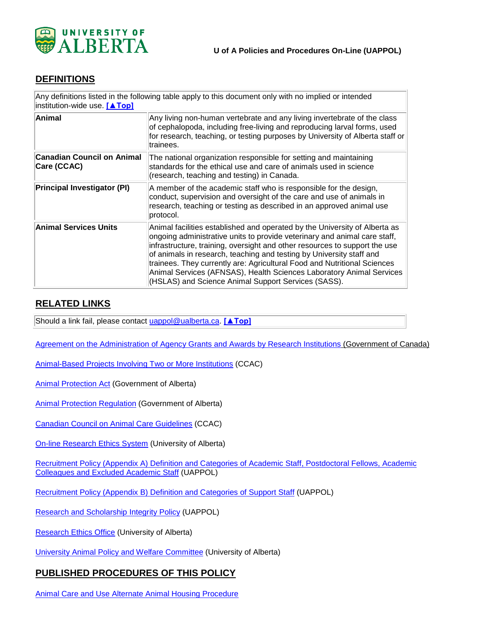

# **DEFINITIONS**

| institution-wide use. [▲Top]                     | Any definitions listed in the following table apply to this document only with no implied or intended                                                                                                                                                                                                                                                                                                                                                                                                                    |
|--------------------------------------------------|--------------------------------------------------------------------------------------------------------------------------------------------------------------------------------------------------------------------------------------------------------------------------------------------------------------------------------------------------------------------------------------------------------------------------------------------------------------------------------------------------------------------------|
| Animal                                           | Any living non-human vertebrate and any living invertebrate of the class<br>of cephalopoda, including free-living and reproducing larval forms, used<br>for research, teaching, or testing purposes by University of Alberta staff or<br>trainees.                                                                                                                                                                                                                                                                       |
| <b>Canadian Council on Animal</b><br>Care (CCAC) | The national organization responsible for setting and maintaining<br>standards for the ethical use and care of animals used in science<br>(research, teaching and testing) in Canada.                                                                                                                                                                                                                                                                                                                                    |
| <b>Principal Investigator (PI)</b>               | A member of the academic staff who is responsible for the design,<br>conduct, supervision and oversight of the care and use of animals in<br>research, teaching or testing as described in an approved animal use<br>protocol.                                                                                                                                                                                                                                                                                           |
| Animal Services Units                            | Animal facilities established and operated by the University of Alberta as<br>ongoing administrative units to provide veterinary and animal care staff,<br>infrastructure, training, oversight and other resources to support the use<br>of animals in research, teaching and testing by University staff and<br>trainees. They currently are: Agricultural Food and Nutritional Sciences<br>Animal Services (AFNSAS), Health Sciences Laboratory Animal Services<br>(HSLAS) and Science Animal Support Services (SASS). |

# **RELATED LINKS**

Should a link fail, please contact [uappol@ualberta.ca.](mailto:uappol@ualberta.ca) **[\[▲Top\]](#page-0-0)**

[Agreement on the Administration of Agency Grants and Awards by Research Institutions](http://science.gc.ca/default.asp?lang=En&n=56B87BE5-1) (Government of Canada)

[Animal-Based Projects Involving Two or More Institutions](http://www.ccac.ca/en_/standards/policies/policy-animal_based_projects) (CCAC)

[Animal Protection Act](http://www.qp.alberta.ca/) (Government of Alberta)

[Animal Protection Regulation](http://www.qp.alberta.ca/) (Government of Alberta)

[Canadian Council on Animal Care Guidelines](http://www.ccac.ca/en_/standards/guidelines/) (CCAC)

On-line [Research Ethics System](https://www.ualberta.ca/research/support/ethics-office/education-training-user-support) (University of Alberta)

[Recruitment Policy \(Appendix A\) Definition and Categories of Academic Staff, Postdoctoral Fellows, Academic](https://policiesonline.ualberta.ca/PoliciesProcedures/Procedures/Recruitment-Policy-Appendix-A-Definition-and-Categories-of-Academic-Staff-Administrators-and-Colleagues.pdf) Colleagues [and Excluded Academic Staff](https://policiesonline.ualberta.ca/PoliciesProcedures/Procedures/Recruitment-Policy-Appendix-A-Definition-and-Categories-of-Academic-Staff-Administrators-and-Colleagues.pdf) (UAPPOL)

[Recruitment Policy \(Appendix B\) Definition and Categories of Support Staff](https://policiesonline.ualberta.ca/PoliciesProcedures/Procedures/Recruitment-Policy-Appendix-B-Definition-and-Categories-of-Support-Staff.pdf) (UAPPOL)

[Research and Scholarship Integrity Policy](https://policiesonline.ualberta.ca/PoliciesProcedures/Policies/Research-and-Scholarship-Integrity-Policy.pdf) (UAPPOL)

[Research Ethics Office](https://www.ualberta.ca/research/support/ethics-office) (University of Alberta)

[University Animal Policy and Welfare Committee](https://www.ualberta.ca/research/support/ethics-office/About-Us/Governance/UAPWC.aspx) (University of Alberta)

## **PUBLISHED PROCEDURES OF THIS POLICY**

[Animal Care and Use Alternate Animal Housing Procedure](https://policiesonline.ualberta.ca/PoliciesProcedures/Procedures/Special-Requests-for-Alternate-Animal-Housing-Procedure.pdf)